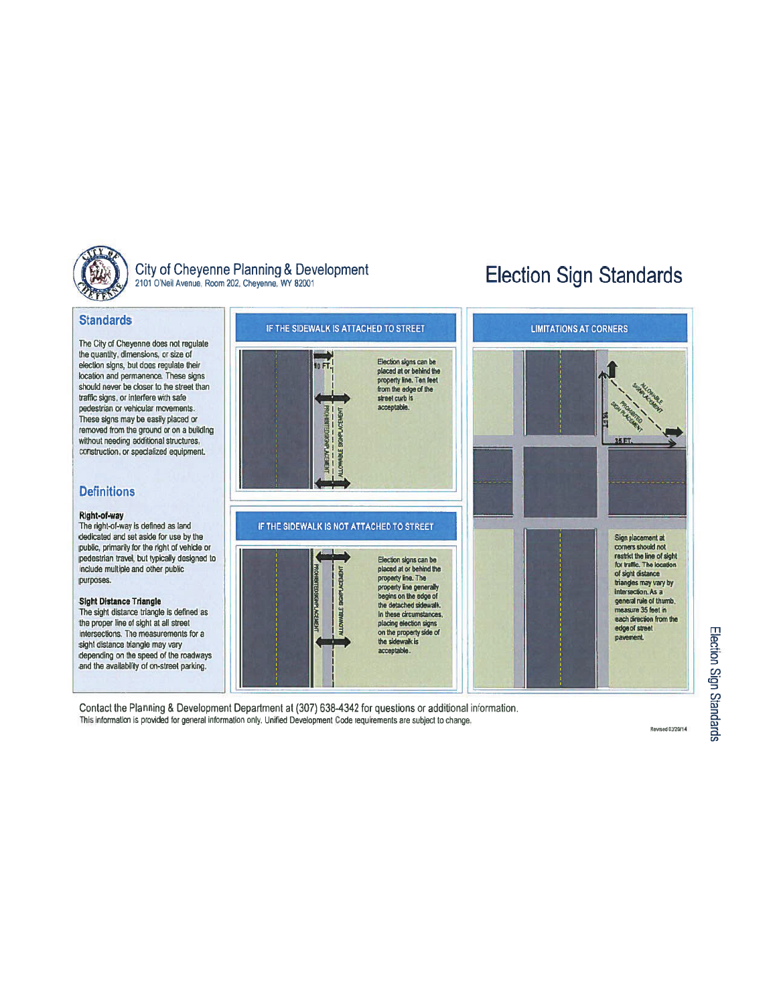

# City of Cheyenne Planning & Development 2101 O'Neil Avenue, Room 202, Cheyenne, WY 82001

# **Election Sign Standards**

### **Standards** IF THE SIDEWALK IS ATTACHED TO STREET **LIMITATIONS AT CORNERS** The City of Cheyenne does not regulate the quantity, dimensions, or size of Election signs can be 10FT! election signs, but does regulate their placed at or behind the<br>property line. Ten feet location and permanence. These signs should never be closer to the street than from the edge of the traffic signs, or interfere with safe street curb is acceptable. pedestrian or vehicular movements. These signs may be easily placed or removed from the ground or on a building without needing additional structures, construction, or specialized equipment. **Definitions** Right-of-way The right-of-way is defined as land IF THE SIDEWALK IS NOT ATTACHED TO STREET dedicated and set aside for use by the Sion placement at public, primarily for the right of vehicle or corners should not restrict the line of sight pedestrian travel, but typically designed to Election signs can be for traffic. The location include multiple and other public placed at or behind the of sight distance property line. The purposes. triangles may vary by property line generally intersection. As a<br>general rule of thumb, begins on the edge of **Sight Distance Triangle** the detached sidewalk. measure 35 feet in The sight distance triangle is defined as In these circumstances. each direction from the the proper line of sight at all street placing election signs edge of street on the property side of Intersections. The measurements for a pavement. the sidewalk is sight distance triangle may vary acceptable. depending on the speed of the roadways and the availability of on-street parking.

Contact the Planning & Development Department at (307) 638-4342 for questions or additional information. This information is provided for general information only. Unified Development Code requirements are subject to change.

Revised 02/20/14

# Election Sign Standards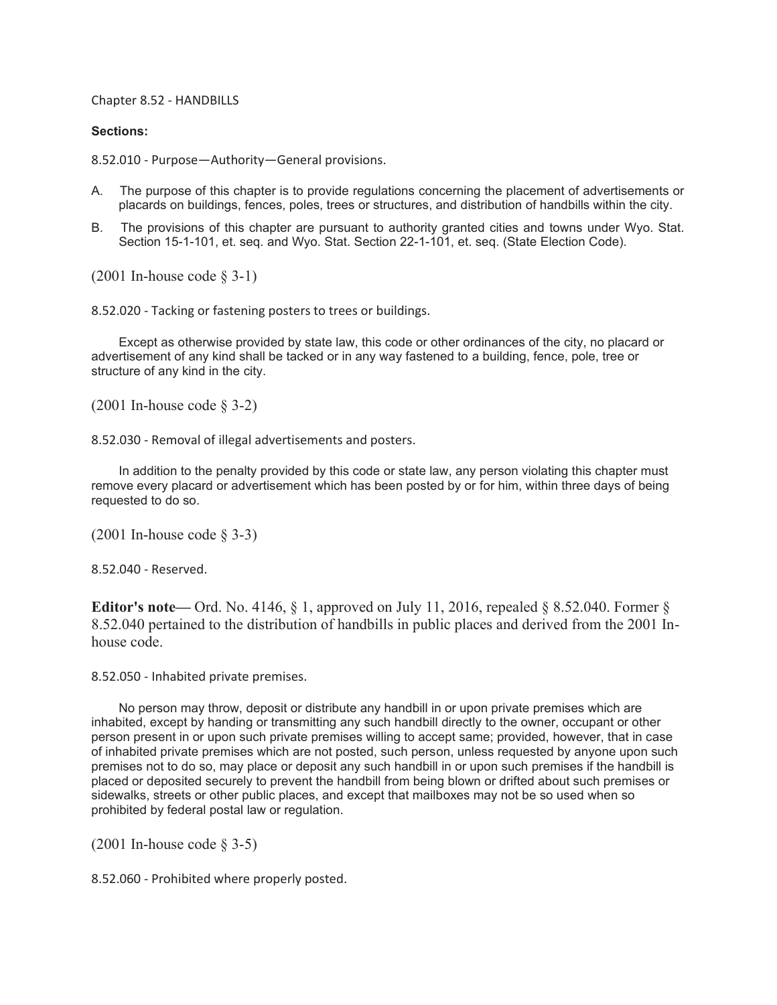Chapter 8.52 - HANDBILLS

## **Sections:**

8.52.010 - Purpose—Authority—General provisions.

- A. The purpose of this chapter is to provide regulations concerning the placement of advertisements or placards on buildings, fences, poles, trees or structures, and distribution of handbills within the city.
- B. The provisions of this chapter are pursuant to authority granted cities and towns under Wyo. Stat. Section 15-1-101, et. seq. and Wyo. Stat. Section 22-1-101, et. seq. (State Election Code).

(2001 In-house code § 3-1)

8.52.020 - Tacking or fastening posters to trees or buildings.

Except as otherwise provided by state law, this code or other ordinances of the city, no placard or advertisement of any kind shall be tacked or in any way fastened to a building, fence, pole, tree or structure of any kind in the city.

(2001 In-house code § 3-2)

8.52.030 - Removal of illegal advertisements and posters.

In addition to the penalty provided by this code or state law, any person violating this chapter must remove every placard or advertisement which has been posted by or for him, within three days of being requested to do so.

(2001 In-house code § 3-3)

8.52.040 - Reserved.

**Editor's note—** Ord. No. 4146, § 1, approved on July 11, 2016, repealed § 8.52.040. Former § 8.52.040 pertained to the distribution of handbills in public places and derived from the 2001 Inhouse code.

8.52.050 - Inhabited private premises.

No person may throw, deposit or distribute any handbill in or upon private premises which are inhabited, except by handing or transmitting any such handbill directly to the owner, occupant or other person present in or upon such private premises willing to accept same; provided, however, that in case of inhabited private premises which are not posted, such person, unless requested by anyone upon such premises not to do so, may place or deposit any such handbill in or upon such premises if the handbill is placed or deposited securely to prevent the handbill from being blown or drifted about such premises or sidewalks, streets or other public places, and except that mailboxes may not be so used when so prohibited by federal postal law or regulation.

(2001 In-house code § 3-5)

8.52.060 - Prohibited where properly posted.